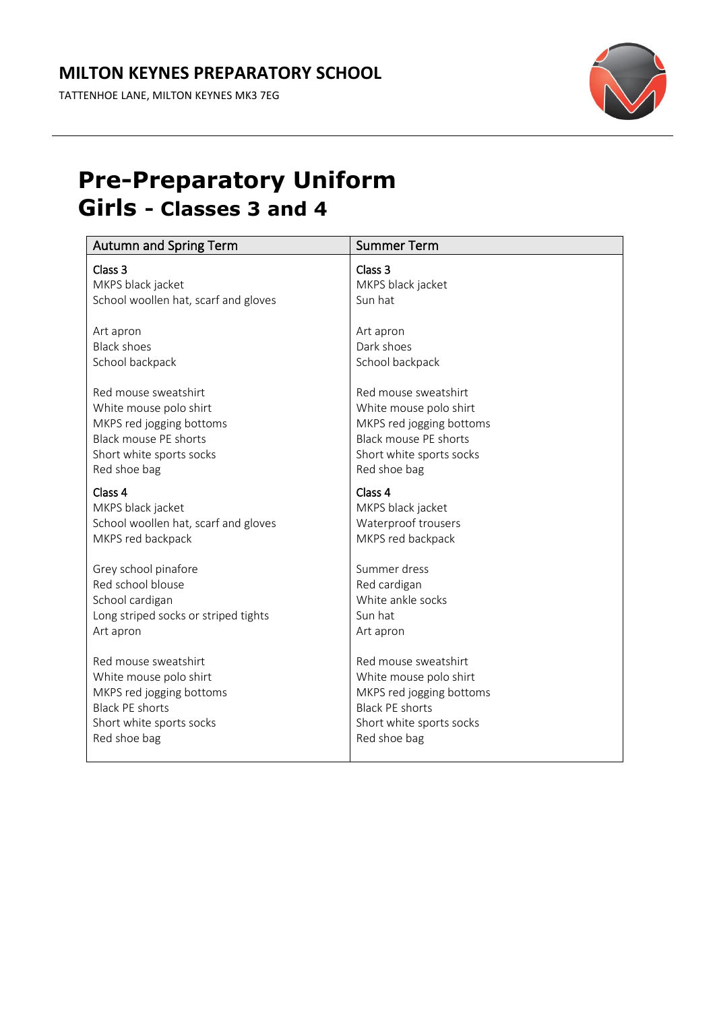TATTENHOE LANE, MILTON KEYNES MK3 7EG



### **Pre-Preparatory Uniform Girls - Classes 3 and 4**

| <b>Autumn and Spring Term</b>        | <b>Summer Term</b>       |
|--------------------------------------|--------------------------|
| Class 3                              | Class 3                  |
| MKPS black jacket                    | MKPS black jacket        |
| School woollen hat, scarf and gloves | Sun hat                  |
| Art apron                            | Art apron                |
| <b>Black shoes</b>                   | Dark shoes               |
| School backpack                      | School backpack          |
| Red mouse sweatshirt                 | Red mouse sweatshirt     |
| White mouse polo shirt               | White mouse polo shirt   |
| MKPS red jogging bottoms             | MKPS red jogging bottoms |
| <b>Black mouse PE shorts</b>         | Black mouse PE shorts    |
| Short white sports socks             | Short white sports socks |
| Red shoe bag                         | Red shoe bag             |
| Class 4                              | Class 4                  |
| MKPS black jacket                    | MKPS black jacket        |
| School woollen hat, scarf and gloves | Waterproof trousers      |
| MKPS red backpack                    | MKPS red backpack        |
| Grey school pinafore                 | Summer dress             |
| Red school blouse                    | Red cardigan             |
| School cardigan                      | White ankle socks        |
| Long striped socks or striped tights | Sun hat                  |
| Art apron                            | Art apron                |
| Red mouse sweatshirt                 | Red mouse sweatshirt     |
| White mouse polo shirt               | White mouse polo shirt   |
| MKPS red jogging bottoms             | MKPS red jogging bottoms |
| <b>Black PE shorts</b>               | <b>Black PE shorts</b>   |
| Short white sports socks             | Short white sports socks |
| Red shoe bag                         | Red shoe bag             |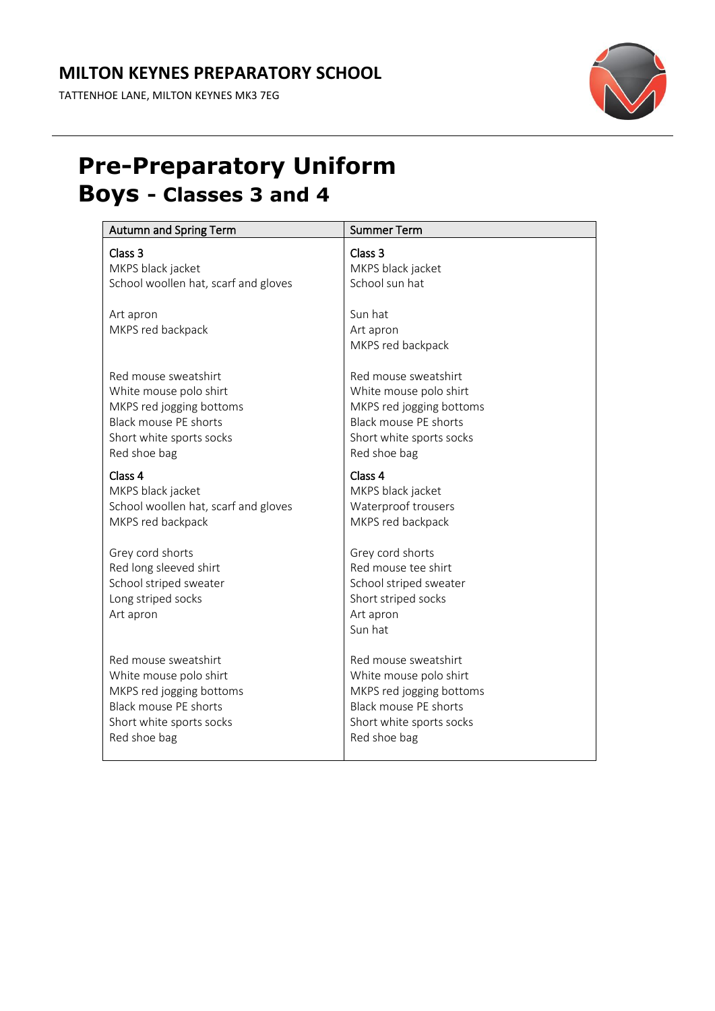#### **MILTON KEYNES PREPARATORY SCHOOL**

TATTENHOE LANE, MILTON KEYNES MK3 7EG



### **Pre-Preparatory Uniform Boys - Classes 3 and 4**

| <b>Autumn and Spring Term</b>                                                                           | <b>Summer Term</b>                                                                                               |
|---------------------------------------------------------------------------------------------------------|------------------------------------------------------------------------------------------------------------------|
| Class 3                                                                                                 | Class 3                                                                                                          |
| MKPS black jacket                                                                                       | MKPS black jacket                                                                                                |
| School woollen hat, scarf and gloves                                                                    | School sun hat                                                                                                   |
| Art apron<br>MKPS red backpack                                                                          | Sun hat<br>Art apron<br>MKPS red backpack                                                                        |
| Red mouse sweatshirt                                                                                    | Red mouse sweatshirt                                                                                             |
| White mouse polo shirt                                                                                  | White mouse polo shirt                                                                                           |
| MKPS red jogging bottoms                                                                                | MKPS red jogging bottoms                                                                                         |
| <b>Black mouse PE shorts</b>                                                                            | <b>Black mouse PE shorts</b>                                                                                     |
| Short white sports socks                                                                                | Short white sports socks                                                                                         |
| Red shoe bag                                                                                            | Red shoe bag                                                                                                     |
| Class 4                                                                                                 | Class 4                                                                                                          |
| MKPS black jacket                                                                                       | MKPS black jacket                                                                                                |
| School woollen hat, scarf and gloves                                                                    | Waterproof trousers                                                                                              |
| MKPS red backpack                                                                                       | MKPS red backpack                                                                                                |
| Grey cord shorts<br>Red long sleeved shirt<br>School striped sweater<br>Long striped socks<br>Art apron | Grey cord shorts<br>Red mouse tee shirt<br>School striped sweater<br>Short striped socks<br>Art apron<br>Sun hat |
| Red mouse sweatshirt                                                                                    | Red mouse sweatshirt                                                                                             |
| White mouse polo shirt                                                                                  | White mouse polo shirt                                                                                           |
| MKPS red jogging bottoms                                                                                | MKPS red jogging bottoms                                                                                         |
| Black mouse PE shorts                                                                                   | <b>Black mouse PE shorts</b>                                                                                     |
| Short white sports socks                                                                                | Short white sports socks                                                                                         |
| Red shoe bag                                                                                            | Red shoe bag                                                                                                     |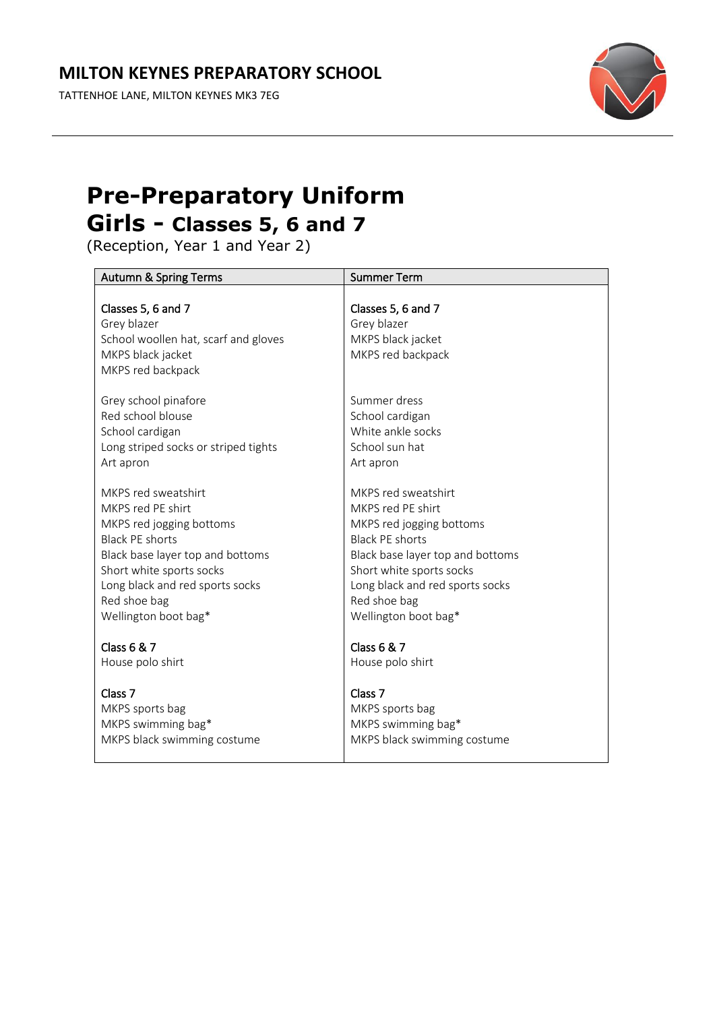TATTENHOE LANE, MILTON KEYNES MK3 7EG



# **Pre-Preparatory Uniform Girls - Classes 5, 6 and 7**

(Reception, Year 1 and Year 2)

| <b>Autumn &amp; Spring Terms</b>                                                                                    | <b>Summer Term</b>                                                          |
|---------------------------------------------------------------------------------------------------------------------|-----------------------------------------------------------------------------|
| Classes 5, 6 and 7<br>Grey blazer<br>School woollen hat, scarf and gloves<br>MKPS black jacket<br>MKPS red backpack | Classes 5, 6 and 7<br>Grey blazer<br>MKPS black jacket<br>MKPS red backpack |
| Grey school pinafore                                                                                                | Summer dress                                                                |
| Red school blouse                                                                                                   | School cardigan                                                             |
| School cardigan                                                                                                     | White ankle socks                                                           |
| Long striped socks or striped tights                                                                                | School sun hat                                                              |
| Art apron                                                                                                           | Art apron                                                                   |
| MKPS red sweatshirt                                                                                                 | MKPS red sweatshirt                                                         |
| MKPS red PE shirt                                                                                                   | MKPS red PE shirt                                                           |
| MKPS red jogging bottoms                                                                                            | MKPS red jogging bottoms                                                    |
| <b>Black PE shorts</b>                                                                                              | <b>Black PE shorts</b>                                                      |
| Black base layer top and bottoms                                                                                    | Black base layer top and bottoms                                            |
| Short white sports socks                                                                                            | Short white sports socks                                                    |
| Long black and red sports socks                                                                                     | Long black and red sports socks                                             |
| Red shoe bag                                                                                                        | Red shoe bag                                                                |
| Wellington boot bag*                                                                                                | Wellington boot bag*                                                        |
| <b>Class 6 &amp; 7</b>                                                                                              | <b>Class 6 &amp; 7</b>                                                      |
| House polo shirt                                                                                                    | House polo shirt                                                            |
| Class <sub>7</sub>                                                                                                  | Class <sub>7</sub>                                                          |
| MKPS sports bag                                                                                                     | MKPS sports bag                                                             |
| MKPS swimming bag*                                                                                                  | MKPS swimming bag*                                                          |
| MKPS black swimming costume                                                                                         | MKPS black swimming costume                                                 |